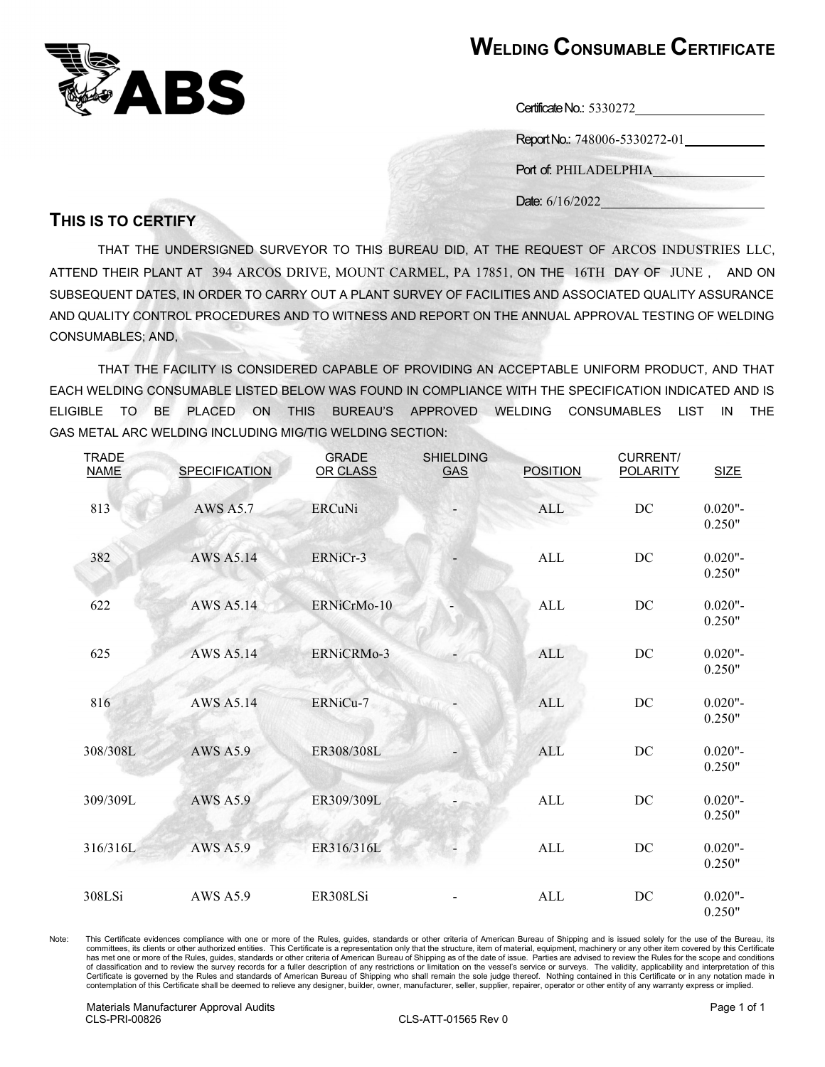

## WELDING CONSUMABLE CERTIFICATE

Report No.: 748006-5330272-01

Port of: PHILADELPHIA

Date:  $6/16/2022$ 

## THIS IS TO CERTIFY

THAT THE UNDERSIGNED SURVEYOR TO THIS BUREAU DID, AT THE REQUEST OF ARCOS INDUSTRIES LLC, ATTEND THEIR PLANT AT 394 ARCOS DRIVE, MOUNT CARMEL, PA 17851, ON THE 16TH DAY OF JUNE , AND ON SUBSEQUENT DATES, IN ORDER TO CARRY OUT A PLANT SURVEY OF FACILITIES AND ASSOCIATED QUALITY ASSURANCE AND QUALITY CONTROL PROCEDURES AND TO WITNESS AND REPORT ON THE ANNUAL APPROVAL TESTING OF WELDING CONSUMABLES; AND,

 THAT THE FACILITY IS CONSIDERED CAPABLE OF PROVIDING AN ACCEPTABLE UNIFORM PRODUCT, AND THAT EACH WELDING CONSUMABLE LISTED BELOW WAS FOUND IN COMPLIANCE WITH THE SPECIFICATION INDICATED AND IS ELIGIBLE TO BE PLACED ON THIS BUREAU'S APPROVED WELDING CONSUMABLES LIST IN THE GAS METAL ARC WELDING INCLUDING MIG/TIG WELDING SECTION:

| <b>TRADE</b><br><b>NAME</b> | <b>SPECIFICATION</b> | <b>GRADE</b><br>OR CLASS | <b>SHIELDING</b><br><b>GAS</b> | <b>POSITION</b> | <b>CURRENT/</b><br><b>POLARITY</b> | <b>SIZE</b>          |
|-----------------------------|----------------------|--------------------------|--------------------------------|-----------------|------------------------------------|----------------------|
| 813                         | <b>AWS A5.7</b>      | <b>ERCuNi</b>            |                                | <b>ALL</b>      | DC                                 | $0.020"$ -<br>0.250" |
| 382                         | <b>AWS A5.14</b>     | ERNiCr-3                 |                                | ALL             | DC                                 | $0.020"$ -<br>0.250" |
| 622                         | AWS A5.14            | ERNiCrMo-10              |                                | ALL             | DC                                 | $0.020"$ -<br>0.250" |
| 625                         | <b>AWS A5.14</b>     | ERNiCRMo-3               |                                | <b>ALL</b>      | DC                                 | $0.020$ "-<br>0.250" |
| 816                         | <b>AWS A5.14</b>     | ERNiCu-7                 |                                | <b>ALL</b>      | DC                                 | $0.020"$ -<br>0.250" |
| 308/308L                    | <b>AWS A5.9</b>      | ER308/308L               |                                | <b>ALL</b>      | DC                                 | $0.020"$ -<br>0.250" |
| 309/309L                    | <b>AWS A5.9</b>      | ER309/309L               |                                | ALL             | DC                                 | $0.020$ "-<br>0.250" |
| 316/316L                    | <b>AWS A5.9</b>      | ER316/316L               |                                | <b>ALL</b>      | $\operatorname{DC}$                | $0.020"$ -<br>0.250" |
| 308LSi                      | <b>AWS A5.9</b>      | ER308LSi                 |                                | ALL             | DC                                 | $0.020$ "-<br>0.250" |

Note: This Certificate evidences compliance with one or more of the Rules, guides, standards or other criteria of American Bureau of Shipping and is issued solely for the use of the Bureau, its committees, its clients or other authorized entities. This Certificate is a representation only that the structure, item of material, equipment, machinery or any other item covered by this Certificate has met one or more of the Rules, guides, standards or other criteria of American Bureau of Shipping as of the date of issue. Parties are advised to review the Rules for the scope and conditions of classification and to review the survey records for a fuller description of any restrictions or limitation on the vessel's service or surveys. The validity, applicability and interpretation of this Certificate is governed by the Rules and standards of American Bureau of Shipping who shall remain the sole judge thereof. Nothing contained in this Certificate or in any notation made in<br>contemplation of this Certificate